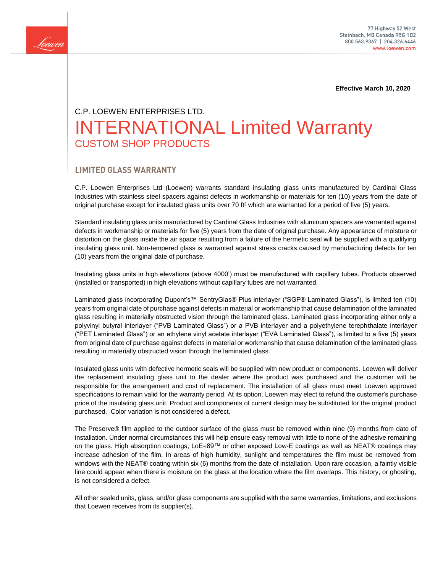

**Effective March 10, 2020**

# C.P. LOEWEN ENTERPRISES LTD. INTERNATIONAL Limited Warranty CUSTOM SHOP PRODUCTS

## **LIMITED GLASS WARRANTY**

C.P. Loewen Enterprises Ltd (Loewen) warrants standard insulating glass units manufactured by Cardinal Glass Industries with stainless steel spacers against defects in workmanship or materials for ten (10) years from the date of original purchase except for insulated glass units over 70 ft² which are warranted for a period of five (5) years.

Standard insulating glass units manufactured by Cardinal Glass Industries with aluminum spacers are warranted against defects in workmanship or materials for five (5) years from the date of original purchase. Any appearance of moisture or distortion on the glass inside the air space resulting from a failure of the hermetic seal will be supplied with a qualifying insulating glass unit. Non-tempered glass is warranted against stress cracks caused by manufacturing defects for ten (10) years from the original date of purchase.

Insulating glass units in high elevations (above 4000') must be manufactured with capillary tubes. Products observed (installed or transported) in high elevations without capillary tubes are not warranted.

Laminated glass incorporating Dupont's™ SentryGlas® Plus interlayer ("SGP® Laminated Glass"), is limited ten (10) years from original date of purchase against defects in material or workmanship that cause delamination of the laminated glass resulting in materially obstructed vision through the laminated glass. Laminated glass incorporating either only a polyvinyl butyral interlayer ("PVB Laminated Glass") or a PVB interlayer and a polyethylene terephthalate interlayer ("PET Laminated Glass") or an ethylene vinyl acetate interlayer ("EVA Laminated Glass"), is limited to a five (5) years from original date of purchase against defects in material or workmanship that cause delamination of the laminated glass resulting in materially obstructed vision through the laminated glass.

Insulated glass units with defective hermetic seals will be supplied with new product or components. Loewen will deliver the replacement insulating glass unit to the dealer where the product was purchased and the customer will be responsible for the arrangement and cost of replacement. The installation of all glass must meet Loewen approved specifications to remain valid for the warranty period. At its option, Loewen may elect to refund the customer's purchase price of the insulating glass unit. Product and components of current design may be substituted for the original product purchased. Color variation is not considered a defect.

The Preserve® film applied to the outdoor surface of the glass must be removed within nine (9) months from date of installation. Under normal circumstances this will help ensure easy removal with little to none of the adhesive remaining on the glass. High absorption coatings, LoE-i89™ or other exposed Low-E coatings as well as NEAT® coatings may increase adhesion of the film. In areas of high humidity, sunlight and temperatures the film must be removed from windows with the NEAT® coating within six (6) months from the date of installation. Upon rare occasion, a faintly visible line could appear when there is moisture on the glass at the location where the film overlaps. This history, or ghosting, is not considered a defect.

All other sealed units, glass, and/or glass components are supplied with the same warranties, limitations, and exclusions that Loewen receives from its supplier(s).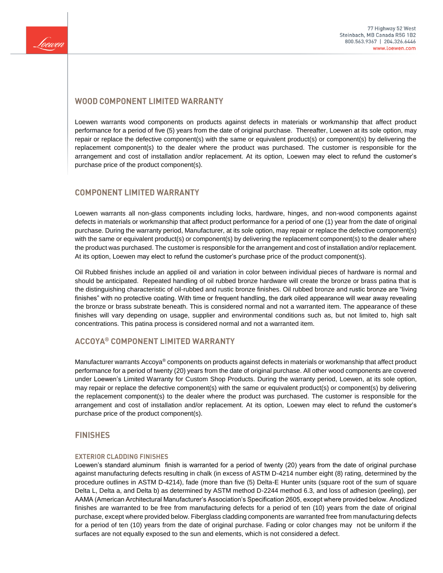

# **WOOD COMPONENT LIMITED WARRANTY**

Loewen warrants wood components on products against defects in materials or workmanship that affect product performance for a period of five (5) years from the date of original purchase. Thereafter, Loewen at its sole option, may repair or replace the defective component(s) with the same or equivalent product(s) or component(s) by delivering the replacement component(s) to the dealer where the product was purchased. The customer is responsible for the arrangement and cost of installation and/or replacement. At its option, Loewen may elect to refund the customer's purchase price of the product component(s).

# **COMPONENT LIMITED WARRANTY**

Loewen warrants all non-glass components including locks, hardware, hinges, and non-wood components against defects in materials or workmanship that affect product performance for a period of one (1) year from the date of original purchase. During the warranty period, Manufacturer, at its sole option, may repair or replace the defective component(s) with the same or equivalent product(s) or component(s) by delivering the replacement component(s) to the dealer where the product was purchased. The customer is responsible for the arrangement and cost of installation and/or replacement. At its option, Loewen may elect to refund the customer's purchase price of the product component(s).

Oil Rubbed finishes include an applied oil and variation in color between individual pieces of hardware is normal and should be anticipated. Repeated handling of oil rubbed bronze hardware will create the bronze or brass patina that is the distinguishing characteristic of oil-rubbed and rustic bronze finishes. Oil rubbed bronze and rustic bronze are "living finishes" with no protective coating. With time or frequent handling, the dark oiled appearance will wear away revealing the bronze or brass substrate beneath. This is considered normal and not a warranted item. The appearance of these finishes will vary depending on usage, supplier and environmental conditions such as, but not limited to, high salt concentrations. This patina process is considered normal and not a warranted item.

# **ACCOYA® COMPONENT LIMITED WARRANTY**

Manufacturer warrants Accoya<sup>®</sup> components on products against defects in materials or workmanship that affect product performance for a period of twenty (20) years from the date of original purchase. All other wood components are covered under Loewen's Limited Warranty for Custom Shop Products. During the warranty period, Loewen, at its sole option, may repair or replace the defective component(s) with the same or equivalent product(s) or component(s) by delivering the replacement component(s) to the dealer where the product was purchased. The customer is responsible for the arrangement and cost of installation and/or replacement. At its option, Loewen may elect to refund the customer's purchase price of the product component(s).

# **FINISHES**

#### **EXTERIOR CLADDING FINISHES**

Loewen's standard aluminum finish is warranted for a period of twenty (20) years from the date of original purchase against manufacturing defects resulting in chalk (in excess of ASTM D-4214 number eight (8) rating, determined by the procedure outlines in ASTM D-4214), fade (more than five (5) Delta-E Hunter units (square root of the sum of square Delta L, Delta a, and Delta b) as determined by ASTM method D-2244 method 6.3, and loss of adhesion (peeling), per AAMA (American Architectural Manufacturer's Association's Specification 2605, except where provided below. Anodized finishes are warranted to be free from manufacturing defects for a period of ten (10) years from the date of original purchase, except where provided below. Fiberglass cladding components are warranted free from manufacturing defects for a period of ten (10) years from the date of original purchase. Fading or color changes may not be uniform if the surfaces are not equally exposed to the sun and elements, which is not considered a defect.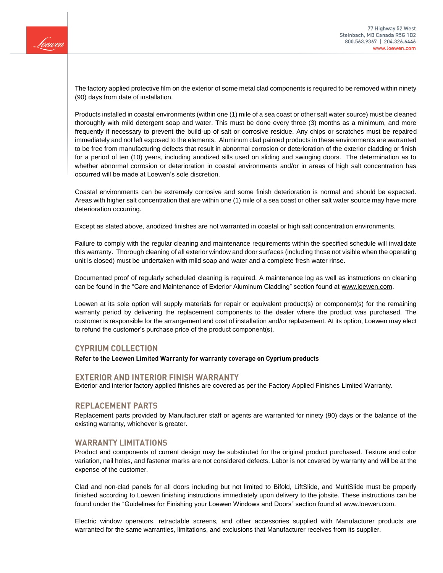

The factory applied protective film on the exterior of some metal clad components is required to be removed within ninety (90) days from date of installation.

Products installed in coastal environments (within one (1) mile of a sea coast or other salt water source) must be cleaned thoroughly with mild detergent soap and water. This must be done every three (3) months as a minimum, and more frequently if necessary to prevent the build-up of salt or corrosive residue. Any chips or scratches must be repaired immediately and not left exposed to the elements. Aluminum clad painted products in these environments are warranted to be free from manufacturing defects that result in abnormal corrosion or deterioration of the exterior cladding or finish for a period of ten (10) years, including anodized sills used on sliding and swinging doors. The determination as to whether abnormal corrosion or deterioration in coastal environments and/or in areas of high salt concentration has occurred will be made at Loewen's sole discretion.

Coastal environments can be extremely corrosive and some finish deterioration is normal and should be expected. Areas with higher salt concentration that are within one (1) mile of a sea coast or other salt water source may have more deterioration occurring.

Except as stated above, anodized finishes are not warranted in coastal or high salt concentration environments.

Failure to comply with the regular cleaning and maintenance requirements within the specified schedule will invalidate this warranty. Thorough cleaning of all exterior window and door surfaces (including those not visible when the operating unit is closed) must be undertaken with mild soap and water and a complete fresh water rinse.

Documented proof of regularly scheduled cleaning is required. A maintenance log as well as instructions on cleaning can be found in the "Care and Maintenance of Exterior Aluminum Cladding" section found at [www.loewen.com.](http://www.loewen.com/)

Loewen at its sole option will supply materials for repair or equivalent product(s) or component(s) for the remaining warranty period by delivering the replacement components to the dealer where the product was purchased. The customer is responsible for the arrangement and cost of installation and/or replacement. At its option, Loewen may elect to refund the customer's purchase price of the product component(s).

## **CYPRIUM COLLECTION**

Refer to the Loewen Limited Warranty for warranty coverage on Cyprium products

#### **EXTERIOR AND INTERIOR FINISH WARRANTY**

Exterior and interior factory applied finishes are covered as per the Factory Applied Finishes Limited Warranty.

### **REPLACEMENT PARTS**

Replacement parts provided by Manufacturer staff or agents are warranted for ninety (90) days or the balance of the existing warranty, whichever is greater.

#### **WARRANTY LIMITATIONS**

Product and components of current design may be substituted for the original product purchased. Texture and color variation, nail holes, and fastener marks are not considered defects. Labor is not covered by warranty and will be at the expense of the customer.

Clad and non-clad panels for all doors including but not limited to Bifold, LiftSlide, and MultiSlide must be properly finished according to Loewen finishing instructions immediately upon delivery to the jobsite. These instructions can be found under the "Guidelines for Finishing your Loewen Windows and Doors" section found a[t www.loewen.com.](http://www.loewen.com/)

Electric window operators, retractable screens, and other accessories supplied with Manufacturer products are warranted for the same warranties, limitations, and exclusions that Manufacturer receives from its supplier.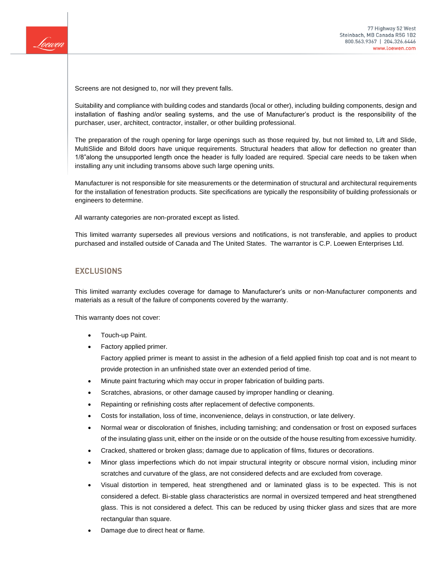

Screens are not designed to, nor will they prevent falls.

Suitability and compliance with building codes and standards (local or other), including building components, design and installation of flashing and/or sealing systems, and the use of Manufacturer's product is the responsibility of the purchaser, user, architect, contractor, installer, or other building professional.

The preparation of the rough opening for large openings such as those required by, but not limited to, Lift and Slide, MultiSlide and Bifold doors have unique requirements. Structural headers that allow for deflection no greater than 1/8"along the unsupported length once the header is fully loaded are required. Special care needs to be taken when installing any unit including transoms above such large opening units.

Manufacturer is not responsible for site measurements or the determination of structural and architectural requirements for the installation of fenestration products. Site specifications are typically the responsibility of building professionals or engineers to determine.

All warranty categories are non-prorated except as listed.

This limited warranty supersedes all previous versions and notifications, is not transferable, and applies to product purchased and installed outside of Canada and The United States. The warrantor is C.P. Loewen Enterprises Ltd.

## **EXCLUSIONS**

This limited warranty excludes coverage for damage to Manufacturer's units or non-Manufacturer components and materials as a result of the failure of components covered by the warranty.

This warranty does not cover:

- Touch-up Paint.
- Factory applied primer.

Factory applied primer is meant to assist in the adhesion of a field applied finish top coat and is not meant to provide protection in an unfinished state over an extended period of time.

- Minute paint fracturing which may occur in proper fabrication of building parts.
- Scratches, abrasions, or other damage caused by improper handling or cleaning.
- Repainting or refinishing costs after replacement of defective components.
- Costs for installation, loss of time, inconvenience, delays in construction, or late delivery.
- Normal wear or discoloration of finishes, including tarnishing; and condensation or frost on exposed surfaces of the insulating glass unit, either on the inside or on the outside of the house resulting from excessive humidity.
- Cracked, shattered or broken glass; damage due to application of films, fixtures or decorations.
- Minor glass imperfections which do not impair structural integrity or obscure normal vision, including minor scratches and curvature of the glass, are not considered defects and are excluded from coverage.
- Visual distortion in tempered, heat strengthened and or laminated glass is to be expected. This is not considered a defect. Bi-stable glass characteristics are normal in oversized tempered and heat strengthened glass. This is not considered a defect. This can be reduced by using thicker glass and sizes that are more rectangular than square.
- Damage due to direct heat or flame.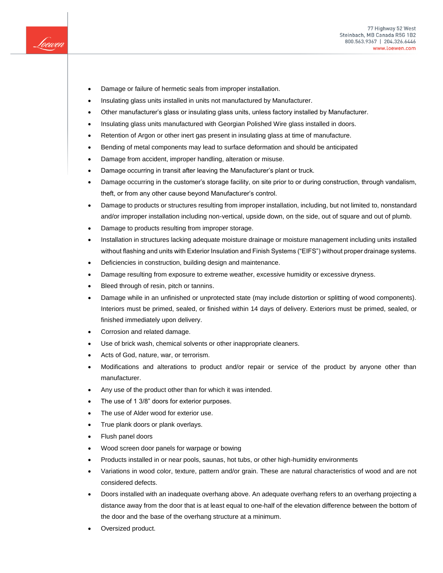

- Damage or failure of hermetic seals from improper installation.
- Insulating glass units installed in units not manufactured by Manufacturer.
- Other manufacturer's glass or insulating glass units, unless factory installed by Manufacturer.
- Insulating glass units manufactured with Georgian Polished Wire glass installed in doors.
- Retention of Argon or other inert gas present in insulating glass at time of manufacture.
- Bending of metal components may lead to surface deformation and should be anticipated
- Damage from accident, improper handling, alteration or misuse.
- Damage occurring in transit after leaving the Manufacturer's plant or truck.
- Damage occurring in the customer's storage facility, on site prior to or during construction, through vandalism, theft, or from any other cause beyond Manufacturer's control.
- Damage to products or structures resulting from improper installation, including, but not limited to, nonstandard and/or improper installation including non-vertical, upside down, on the side, out of square and out of plumb.
- Damage to products resulting from improper storage.
- Installation in structures lacking adequate moisture drainage or moisture management including units installed without flashing and units with Exterior Insulation and Finish Systems ("EIFS") without proper drainage systems.
- Deficiencies in construction, building design and maintenance.
- Damage resulting from exposure to extreme weather, excessive humidity or excessive dryness.
- Bleed through of resin, pitch or tannins.
- Damage while in an unfinished or unprotected state (may include distortion or splitting of wood components). Interiors must be primed, sealed, or finished within 14 days of delivery. Exteriors must be primed, sealed, or finished immediately upon delivery.
- Corrosion and related damage.
- Use of brick wash, chemical solvents or other inappropriate cleaners.
- Acts of God, nature, war, or terrorism.
- Modifications and alterations to product and/or repair or service of the product by anyone other than manufacturer.
- Any use of the product other than for which it was intended.
- The use of 1 3/8" doors for exterior purposes.
- The use of Alder wood for exterior use.
- True plank doors or plank overlays.
- Flush panel doors
- Wood screen door panels for warpage or bowing
- Products installed in or near pools, saunas, hot tubs, or other high-humidity environments
- Variations in wood color, texture, pattern and/or grain. These are natural characteristics of wood and are not considered defects.
- Doors installed with an inadequate overhang above. An adequate overhang refers to an overhang projecting a distance away from the door that is at least equal to one-half of the elevation difference between the bottom of the door and the base of the overhang structure at a minimum.
- Oversized product.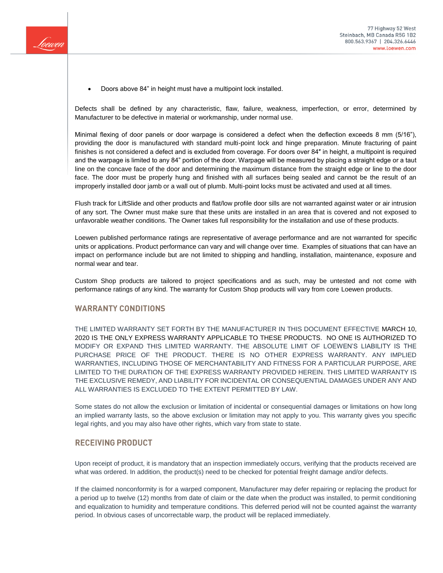

Doors above 84" in height must have a multipoint lock installed.

Defects shall be defined by any characteristic, flaw, failure, weakness, imperfection, or error, determined by Manufacturer to be defective in material or workmanship, under normal use.

Minimal flexing of door panels or door warpage is considered a defect when the deflection exceeds 8 mm (5/16"), providing the door is manufactured with standard multi-point lock and hinge preparation. Minute fracturing of paint finishes is not considered a defect and is excluded from coverage. For doors over 84″ in height, a multipoint is required and the warpage is limited to any 84" portion of the door. Warpage will be measured by placing a straight edge or a taut line on the concave face of the door and determining the maximum distance from the straight edge or line to the door face. The door must be properly hung and finished with all surfaces being sealed and cannot be the result of an improperly installed door jamb or a wall out of plumb. Multi-point locks must be activated and used at all times.

Flush track for LiftSlide and other products and flat/low profile door sills are not warranted against water or air intrusion of any sort. The Owner must make sure that these units are installed in an area that is covered and not exposed to unfavorable weather conditions. The Owner takes full responsibility for the installation and use of these products.

Loewen published performance ratings are representative of average performance and are not warranted for specific units or applications. Product performance can vary and will change over time. Examples of situations that can have an impact on performance include but are not limited to shipping and handling, installation, maintenance, exposure and normal wear and tear.

Custom Shop products are tailored to project specifications and as such, may be untested and not come with performance ratings of any kind. The warranty for Custom Shop products will vary from core Loewen products.

# **WARRANTY CONDITIONS**

THE LIMITED WARRANTY SET FORTH BY THE MANUFACTURER IN THIS DOCUMENT EFFECTIVE MARCH 10, 2020 IS THE ONLY EXPRESS WARRANTY APPLICABLE TO THESE PRODUCTS. NO ONE IS AUTHORIZED TO MODIFY OR EXPAND THIS LIMITED WARRANTY. THE ABSOLUTE LIMIT OF LOEWEN'S LIABILITY IS THE PURCHASE PRICE OF THE PRODUCT. THERE IS NO OTHER EXPRESS WARRANTY. ANY IMPLIED WARRANTIES, INCLUDING THOSE OF MERCHANTABILITY AND FITNESS FOR A PARTICULAR PURPOSE, ARE LIMITED TO THE DURATION OF THE EXPRESS WARRANTY PROVIDED HEREIN. THIS LIMITED WARRANTY IS THE EXCLUSIVE REMEDY, AND LIABILITY FOR INCIDENTAL OR CONSEQUENTIAL DAMAGES UNDER ANY AND ALL WARRANTIES IS EXCLUDED TO THE EXTENT PERMITTED BY LAW.

Some states do not allow the exclusion or limitation of incidental or consequential damages or limitations on how long an implied warranty lasts, so the above exclusion or limitation may not apply to you. This warranty gives you specific legal rights, and you may also have other rights, which vary from state to state.

#### **RECEIVING PRODUCT**

Upon receipt of product, it is mandatory that an inspection immediately occurs, verifying that the products received are what was ordered. In addition, the product(s) need to be checked for potential freight damage and/or defects.

If the claimed nonconformity is for a warped component, Manufacturer may defer repairing or replacing the product for a period up to twelve (12) months from date of claim or the date when the product was installed, to permit conditioning and equalization to humidity and temperature conditions. This deferred period will not be counted against the warranty period. In obvious cases of uncorrectable warp, the product will be replaced immediately.